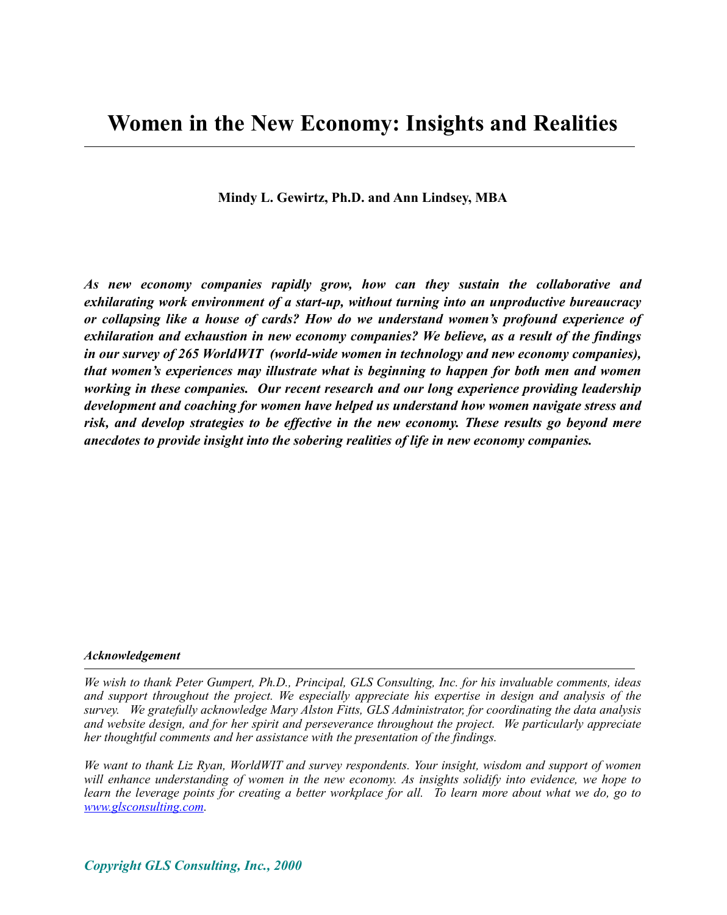**Mindy L. Gewirtz, Ph.D. and Ann Lindsey, MBA**

*As new economy companies rapidly grow, how can they sustain the collaborative and exhilarating work environment of a start-up, without turning into an unproductive bureaucracy or collapsing like a house of cards? How do we understand women's profound experience of exhilaration and exhaustion in new economy companies? We believe, as a result of the findings in our survey of 265 WorldWIT (world-wide women in technology and new economy companies), that women's experiences may illustrate what is beginning to happen for both men and women working in these companies. Our recent research and our long experience providing leadership development and coaching for women have helped us understand how women navigate stress and risk, and develop strategies to be effective in the new economy. These results go beyond mere anecdotes to provide insight into the sobering realities of life in new economy companies.*

#### *Acknowledgement*

*We wish to thank Peter Gumpert, Ph.D., Principal, GLS Consulting, Inc. for his invaluable comments, ideas and support throughout the project. We especially appreciate his expertise in design and analysis of the survey. We gratefully acknowledge Mary Alston Fitts, GLS Administrator, for coordinating the data analysis and website design, and for her spirit and perseverance throughout the project. We particularly appreciate her thoughtful comments and her assistance with the presentation of the findings.* 

*We want to thank Liz Ryan, WorldWIT and survey respondents. Your insight, wisdom and support of women will enhance understanding of women in the new economy. As insights solidify into evidence, we hope to learn the leverage points for creating a better workplace for all. To learn more about what we do, go to www.glsconsulting.com.*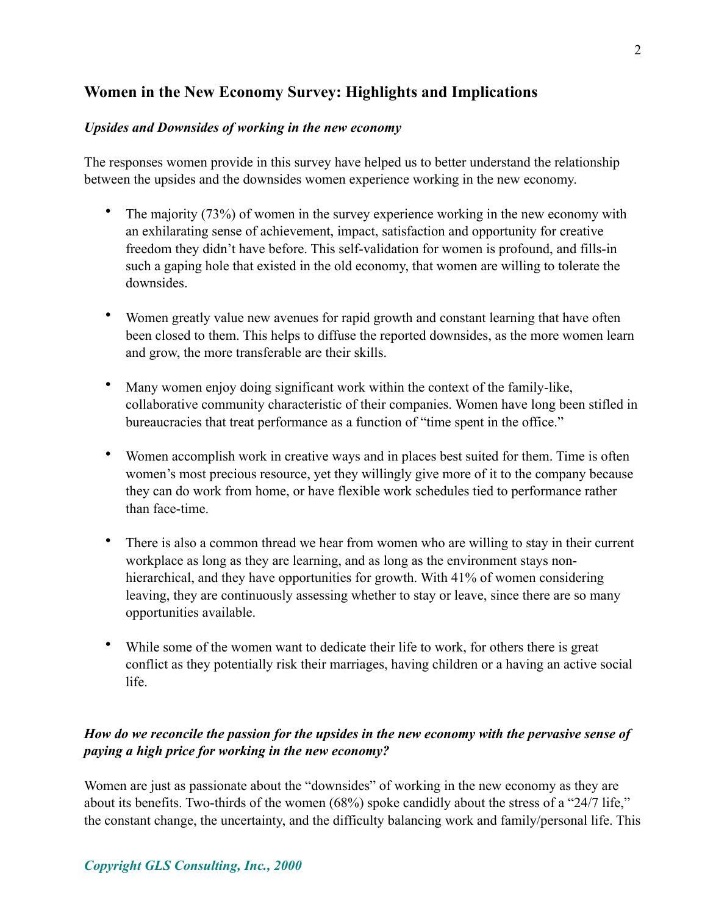# **Women in the New Economy Survey: Highlights and Implications**

#### *Upsides and Downsides of working in the new economy*

The responses women provide in this survey have helped us to better understand the relationship between the upsides and the downsides women experience working in the new economy.

- The majority (73%) of women in the survey experience working in the new economy with an exhilarating sense of achievement, impact, satisfaction and opportunity for creative freedom they didn't have before. This self-validation for women is profound, and fills-in such a gaping hole that existed in the old economy, that women are willing to tolerate the downsides.
- Women greatly value new avenues for rapid growth and constant learning that have often been closed to them. This helps to diffuse the reported downsides, as the more women learn and grow, the more transferable are their skills.
- Many women enjoy doing significant work within the context of the family-like, collaborative community characteristic of their companies. Women have long been stifled in bureaucracies that treat performance as a function of "time spent in the office."
- Women accomplish work in creative ways and in places best suited for them. Time is often women's most precious resource, yet they willingly give more of it to the company because they can do work from home, or have flexible work schedules tied to performance rather than face-time.
- There is also a common thread we hear from women who are willing to stay in their current workplace as long as they are learning, and as long as the environment stays nonhierarchical, and they have opportunities for growth. With 41% of women considering leaving, they are continuously assessing whether to stay or leave, since there are so many opportunities available.
- While some of the women want to dedicate their life to work, for others there is great conflict as they potentially risk their marriages, having children or a having an active social life.

# *How do we reconcile the passion for the upsides in the new economy with the pervasive sense of paying a high price for working in the new economy?*

Women are just as passionate about the "downsides" of working in the new economy as they are about its benefits. Two-thirds of the women (68%) spoke candidly about the stress of a "24/7 life," the constant change, the uncertainty, and the difficulty balancing work and family/personal life. This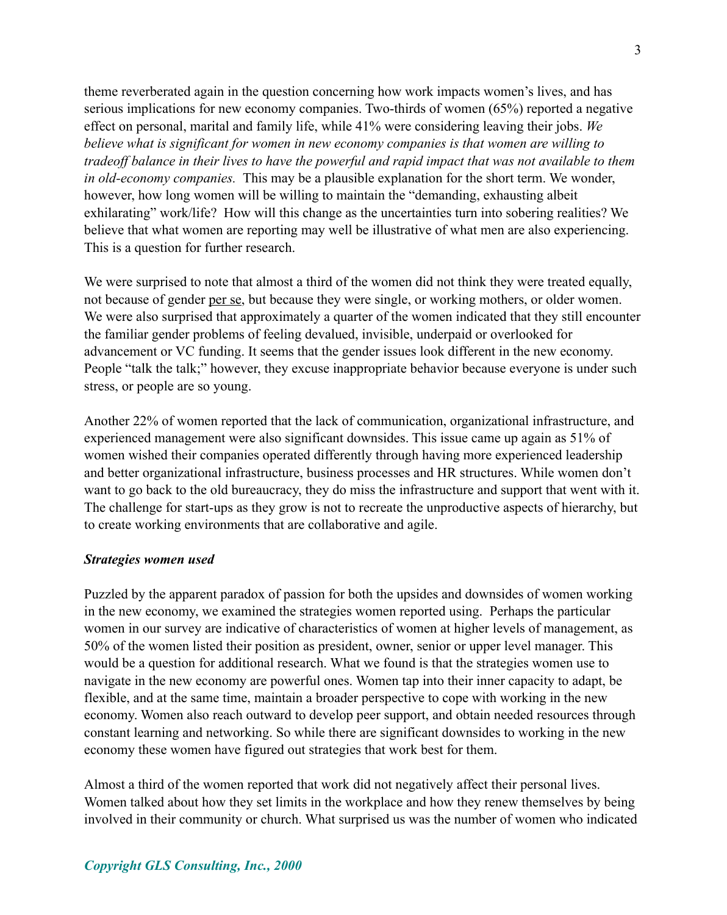theme reverberated again in the question concerning how work impacts women's lives, and has serious implications for new economy companies. Two-thirds of women (65%) reported a negative effect on personal, marital and family life, while 41% were considering leaving their jobs. *We believe what is significant for women in new economy companies is that women are willing to tradeoff balance in their lives to have the powerful and rapid impact that was not available to them in old-economy companies.* This may be a plausible explanation for the short term. We wonder, however, how long women will be willing to maintain the "demanding, exhausting albeit exhilarating" work/life? How will this change as the uncertainties turn into sobering realities? We believe that what women are reporting may well be illustrative of what men are also experiencing. This is a question for further research.

We were surprised to note that almost a third of the women did not think they were treated equally, not because of gender per se, but because they were single, or working mothers, or older women. We were also surprised that approximately a quarter of the women indicated that they still encounter the familiar gender problems of feeling devalued, invisible, underpaid or overlooked for advancement or VC funding. It seems that the gender issues look different in the new economy. People "talk the talk;" however, they excuse inappropriate behavior because everyone is under such stress, or people are so young.

Another 22% of women reported that the lack of communication, organizational infrastructure, and experienced management were also significant downsides. This issue came up again as 51% of women wished their companies operated differently through having more experienced leadership and better organizational infrastructure, business processes and HR structures. While women don't want to go back to the old bureaucracy, they do miss the infrastructure and support that went with it. The challenge for start-ups as they grow is not to recreate the unproductive aspects of hierarchy, but to create working environments that are collaborative and agile.

#### *Strategies women used*

Puzzled by the apparent paradox of passion for both the upsides and downsides of women working in the new economy, we examined the strategies women reported using. Perhaps the particular women in our survey are indicative of characteristics of women at higher levels of management, as 50% of the women listed their position as president, owner, senior or upper level manager. This would be a question for additional research. What we found is that the strategies women use to navigate in the new economy are powerful ones. Women tap into their inner capacity to adapt, be flexible, and at the same time, maintain a broader perspective to cope with working in the new economy. Women also reach outward to develop peer support, and obtain needed resources through constant learning and networking. So while there are significant downsides to working in the new economy these women have figured out strategies that work best for them.

Almost a third of the women reported that work did not negatively affect their personal lives. Women talked about how they set limits in the workplace and how they renew themselves by being involved in their community or church. What surprised us was the number of women who indicated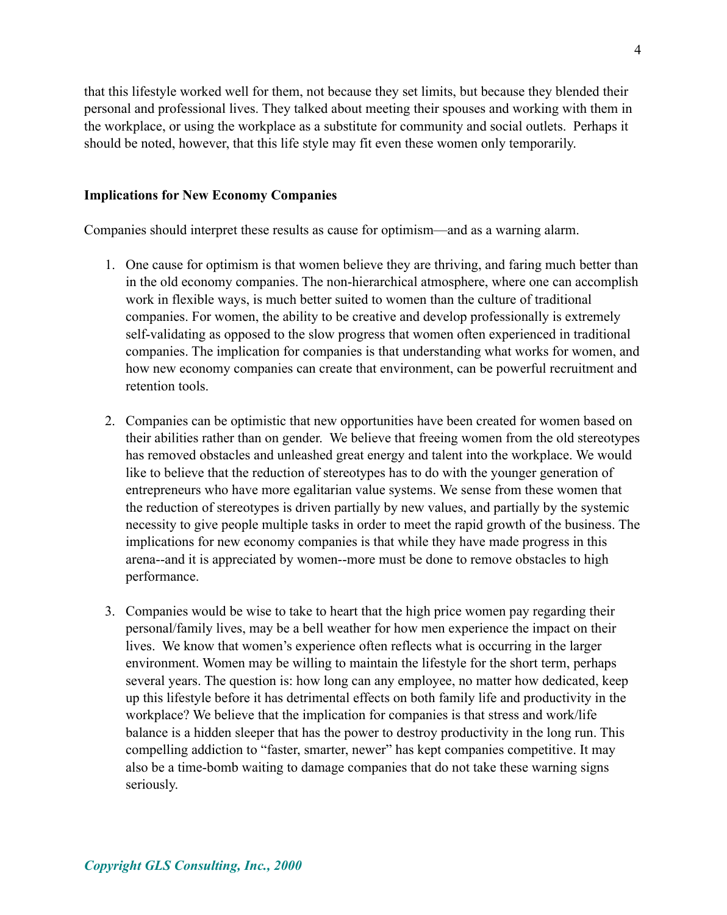4

that this lifestyle worked well for them, not because they set limits, but because they blended their personal and professional lives. They talked about meeting their spouses and working with them in the workplace, or using the workplace as a substitute for community and social outlets. Perhaps it should be noted, however, that this life style may fit even these women only temporarily.

#### **Implications for New Economy Companies**

Companies should interpret these results as cause for optimism—and as a warning alarm.

- 1. One cause for optimism is that women believe they are thriving, and faring much better than in the old economy companies. The non-hierarchical atmosphere, where one can accomplish work in flexible ways, is much better suited to women than the culture of traditional companies. For women, the ability to be creative and develop professionally is extremely self-validating as opposed to the slow progress that women often experienced in traditional companies. The implication for companies is that understanding what works for women, and how new economy companies can create that environment, can be powerful recruitment and retention tools.
- 2. Companies can be optimistic that new opportunities have been created for women based on their abilities rather than on gender. We believe that freeing women from the old stereotypes has removed obstacles and unleashed great energy and talent into the workplace. We would like to believe that the reduction of stereotypes has to do with the younger generation of entrepreneurs who have more egalitarian value systems. We sense from these women that the reduction of stereotypes is driven partially by new values, and partially by the systemic necessity to give people multiple tasks in order to meet the rapid growth of the business. The implications for new economy companies is that while they have made progress in this arena--and it is appreciated by women--more must be done to remove obstacles to high performance.
- 3. Companies would be wise to take to heart that the high price women pay regarding their personal/family lives, may be a bell weather for how men experience the impact on their lives. We know that women's experience often reflects what is occurring in the larger environment. Women may be willing to maintain the lifestyle for the short term, perhaps several years. The question is: how long can any employee, no matter how dedicated, keep up this lifestyle before it has detrimental effects on both family life and productivity in the workplace? We believe that the implication for companies is that stress and work/life balance is a hidden sleeper that has the power to destroy productivity in the long run. This compelling addiction to "faster, smarter, newer" has kept companies competitive. It may also be a time-bomb waiting to damage companies that do not take these warning signs seriously.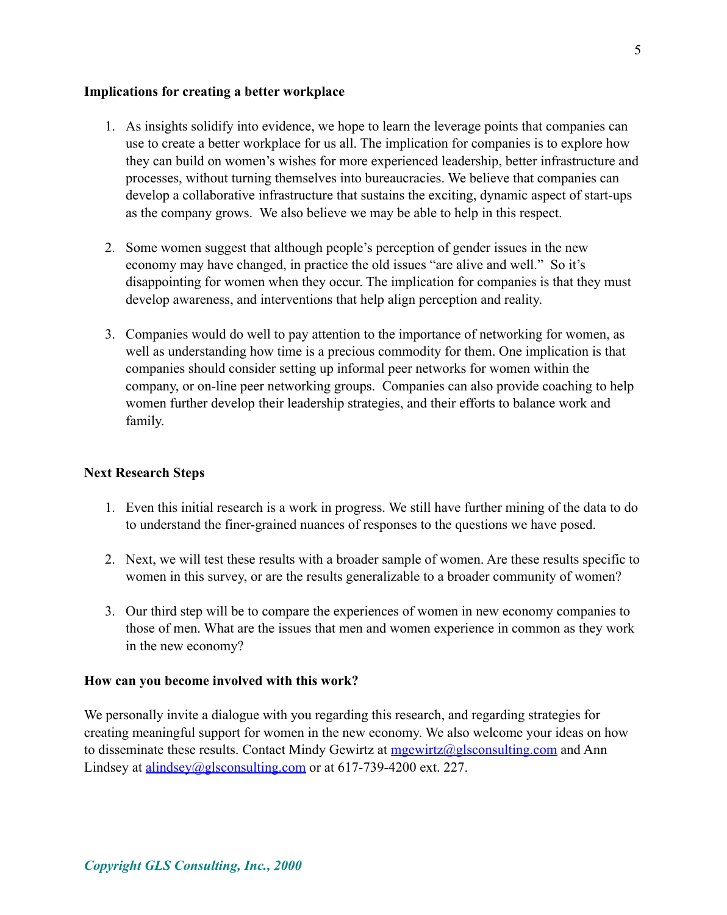#### **Implications for creating a better workplace**

- 1. As insights solidify into evidence, we hope to learn the leverage points that companies can use to create a better workplace for us all. The implication for companies is to explore how they can build on women's wishes for more experienced leadership, better infrastructure and processes, without turning themselves into bureaucracies. We believe that companies can develop a collaborative infrastructure that sustains the exciting, dynamic aspect of start-ups as the company grows. We also believe we may be able to help in this respect.
- 2. Some women suggest that although people's perception of gender issues in the new economy may have changed, in practice the old issues "are alive and well." So it's disappointing for women when they occur. The implication for companies is that they must develop awareness, and interventions that help align perception and reality.
- 3. Companies would do well to pay attention to the importance of networking for women, as well as understanding how time is a precious commodity for them. One implication is that companies should consider setting up informal peer networks for women within the company, or on-line peer networking groups. Companies can also provide coaching to help women further develop their leadership strategies, and their efforts to balance work and family.

#### **Next Research Steps**

- 1. Even this initial research is a work in progress. We still have further mining of the data to do to understand the finer-grained nuances of responses to the questions we have posed.
- 2. Next, we will test these results with a broader sample of women. Are these results specific to women in this survey, or are the results generalizable to a broader community of women?
- 3. Our third step will be to compare the experiences of women in new economy companies to those of men. What are the issues that men and women experience in common as they work in the new economy?

#### **How can you become involved with this work?**

We personally invite a dialogue with you regarding this research, and regarding strategies for creating meaningful support for women in the new economy. We also welcome your ideas on how to disseminate these results. Contact Mindy Gewirtz at  $mgewirtz@glsconstulting.com$  and Ann Lindsey at <u>alindsey@glsconsulting.com</u> or at 617-739-4200 ext. 227.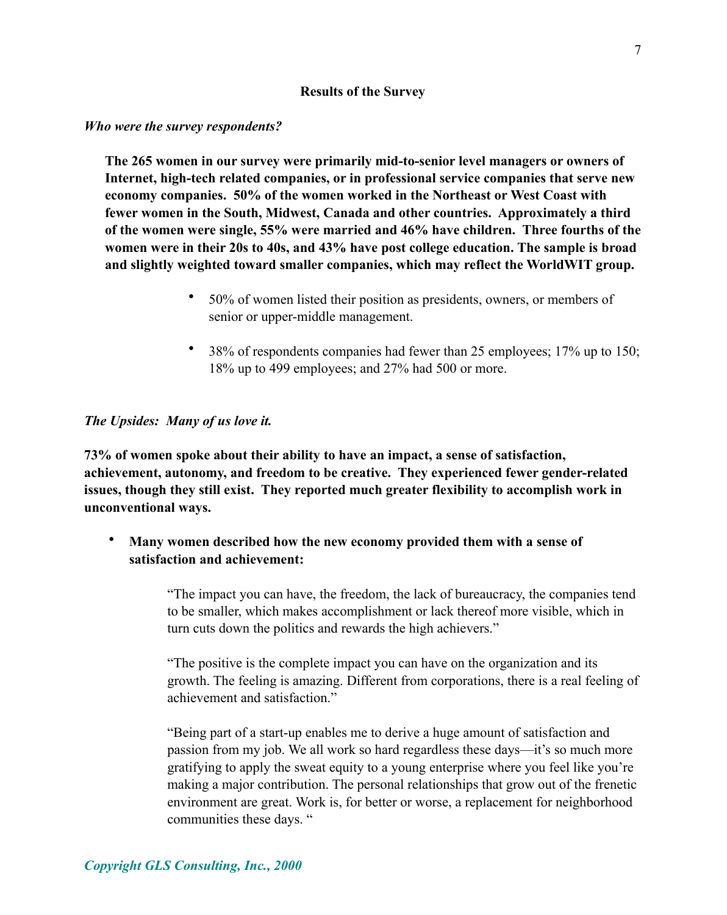#### **Results of the Survey**

#### *Who were the survey respondents?*

**The 265 women in our survey were primarily mid-to-senior level managers or owners of Internet, high-tech related companies, or in professional service companies that serve new economy companies. 50% of the women worked in the Northeast or West Coast with fewer women in the South, Midwest, Canada and other countries. Approximately a third of the women were single, 55% were married and 46% have children. Three fourths of the women were in their 20s to 40s, and 43% have post college education. The sample is broad and slightly weighted toward smaller companies, which may reflect the WorldWIT group.**

- 50% of women listed their position as presidents, owners, or members of senior or upper-middle management.
- 38% of respondents companies had fewer than 25 employees; 17% up to 150; 18% up to 499 employees; and 27% had 500 or more.

### *The Upsides: Many of us love it.*

**73% of women spoke about their ability to have an impact, a sense of satisfaction, achievement, autonomy, and freedom to be creative. They experienced fewer gender-related issues, though they still exist. They reported much greater flexibility to accomplish work in unconventional ways.**

• **Many women described how the new economy provided them with a sense of satisfaction and achievement:**

> "The impact you can have, the freedom, the lack of bureaucracy, the companies tend to be smaller, which makes accomplishment or lack thereof more visible, which in turn cuts down the politics and rewards the high achievers."

> "The positive is the complete impact you can have on the organization and its growth. The feeling is amazing. Different from corporations, there is a real feeling of achievement and satisfaction."

> "Being part of a start-up enables me to derive a huge amount of satisfaction and passion from my job. We all work so hard regardless these days—it's so much more gratifying to apply the sweat equity to a young enterprise where you feel like you're making a major contribution. The personal relationships that grow out of the frenetic environment are great. Work is, for better or worse, a replacement for neighborhood communities these days. "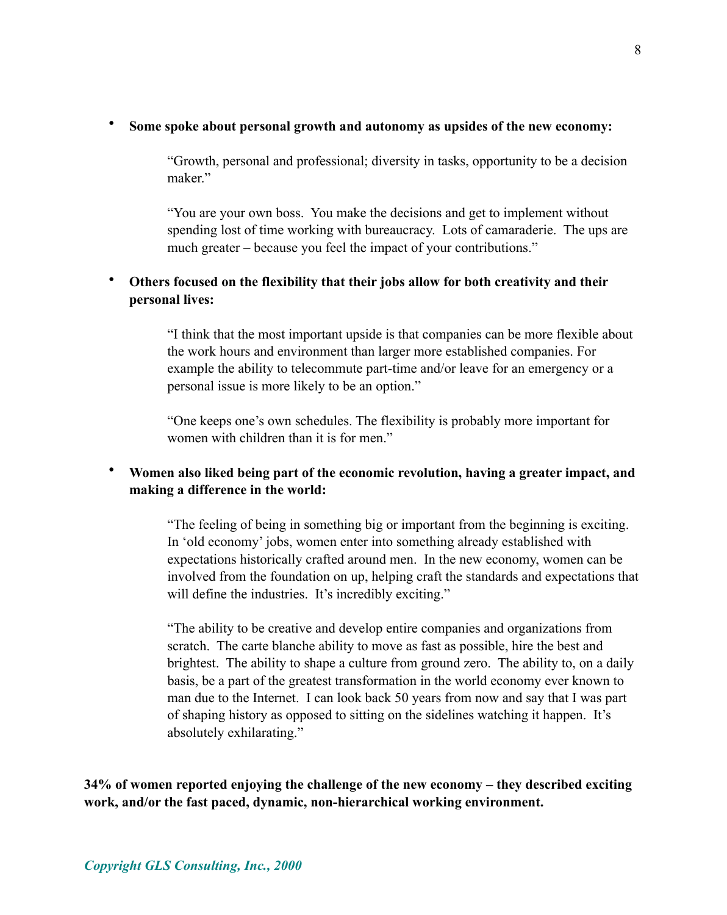#### • **Some spoke about personal growth and autonomy as upsides of the new economy:**

"Growth, personal and professional; diversity in tasks, opportunity to be a decision maker."

"You are your own boss. You make the decisions and get to implement without spending lost of time working with bureaucracy. Lots of camaraderie. The ups are much greater – because you feel the impact of your contributions."

## • **Others focused on the flexibility that their jobs allow for both creativity and their personal lives:**

"I think that the most important upside is that companies can be more flexible about the work hours and environment than larger more established companies. For example the ability to telecommute part-time and/or leave for an emergency or a personal issue is more likely to be an option."

"One keeps one's own schedules. The flexibility is probably more important for women with children than it is for men."

# • **Women also liked being part of the economic revolution, having a greater impact, and making a difference in the world:**

"The feeling of being in something big or important from the beginning is exciting. In 'old economy' jobs, women enter into something already established with expectations historically crafted around men. In the new economy, women can be involved from the foundation on up, helping craft the standards and expectations that will define the industries. It's incredibly exciting."

"The ability to be creative and develop entire companies and organizations from scratch. The carte blanche ability to move as fast as possible, hire the best and brightest. The ability to shape a culture from ground zero. The ability to, on a daily basis, be a part of the greatest transformation in the world economy ever known to man due to the Internet. I can look back 50 years from now and say that I was part of shaping history as opposed to sitting on the sidelines watching it happen. It's absolutely exhilarating."

**34% of women reported enjoying the challenge of the new economy – they described exciting work, and/or the fast paced, dynamic, non-hierarchical working environment.**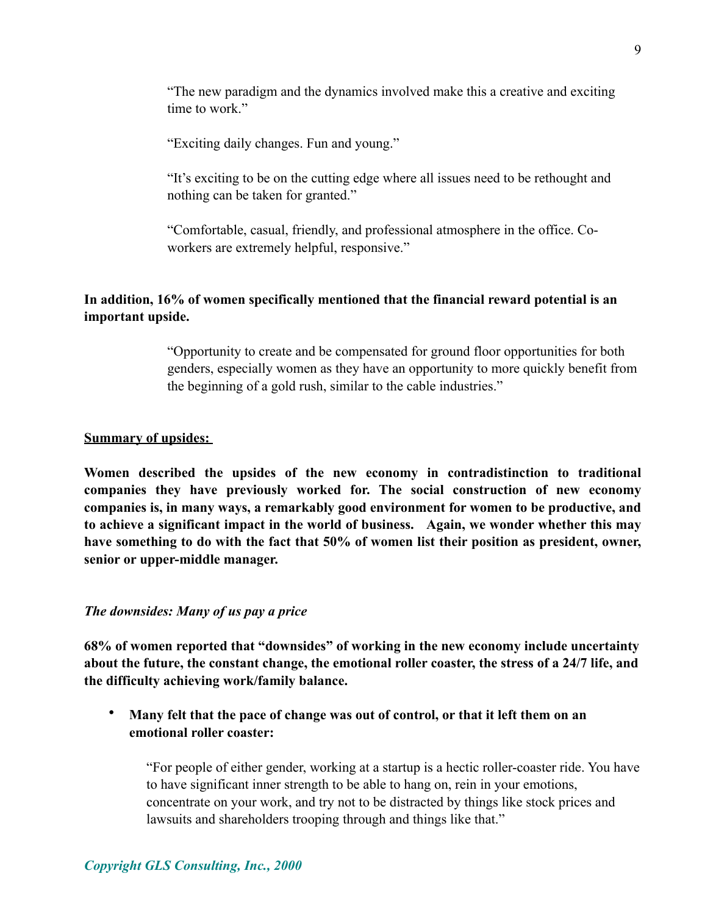"The new paradigm and the dynamics involved make this a creative and exciting time to work."

"Exciting daily changes. Fun and young."

"It's exciting to be on the cutting edge where all issues need to be rethought and nothing can be taken for granted."

"Comfortable, casual, friendly, and professional atmosphere in the office. Coworkers are extremely helpful, responsive."

## **In addition, 16% of women specifically mentioned that the financial reward potential is an important upside.**

"Opportunity to create and be compensated for ground floor opportunities for both genders, especially women as they have an opportunity to more quickly benefit from the beginning of a gold rush, similar to the cable industries."

#### **Summary of upsides:**

**Women described the upsides of the new economy in contradistinction to traditional companies they have previously worked for. The social construction of new economy companies is, in many ways, a remarkably good environment for women to be productive, and to achieve a significant impact in the world of business. Again, we wonder whether this may have something to do with the fact that 50% of women list their position as president, owner, senior or upper-middle manager.**

#### *The downsides: Many of us pay a price*

**68% of women reported that "downsides" of working in the new economy include uncertainty about the future, the constant change, the emotional roller coaster, the stress of a 24/7 life, and the difficulty achieving work/family balance.** 

• **Many felt that the pace of change was out of control, or that it left them on an emotional roller coaster:**

"For people of either gender, working at a startup is a hectic roller-coaster ride. You have to have significant inner strength to be able to hang on, rein in your emotions, concentrate on your work, and try not to be distracted by things like stock prices and lawsuits and shareholders trooping through and things like that."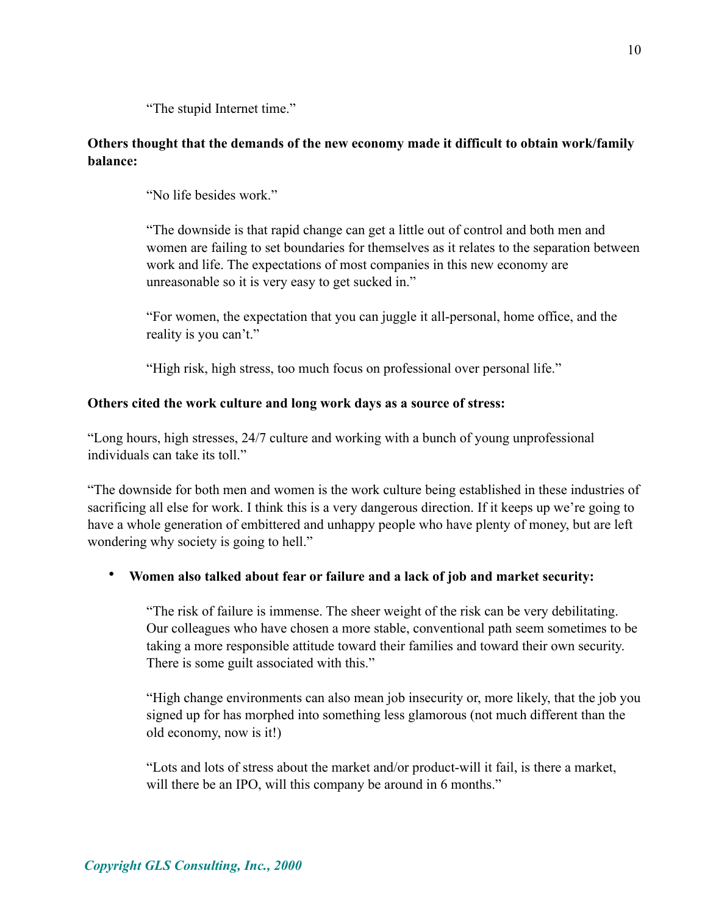"The stupid Internet time."

## **Others thought that the demands of the new economy made it difficult to obtain work/family balance:**

"No life besides work."

"The downside is that rapid change can get a little out of control and both men and women are failing to set boundaries for themselves as it relates to the separation between work and life. The expectations of most companies in this new economy are unreasonable so it is very easy to get sucked in."

"For women, the expectation that you can juggle it all-personal, home office, and the reality is you can't."

"High risk, high stress, too much focus on professional over personal life."

## **Others cited the work culture and long work days as a source of stress:**

"Long hours, high stresses, 24/7 culture and working with a bunch of young unprofessional individuals can take its toll."

"The downside for both men and women is the work culture being established in these industries of sacrificing all else for work. I think this is a very dangerous direction. If it keeps up we're going to have a whole generation of embittered and unhappy people who have plenty of money, but are left wondering why society is going to hell."

# • **Women also talked about fear or failure and a lack of job and market security:**

"The risk of failure is immense. The sheer weight of the risk can be very debilitating. Our colleagues who have chosen a more stable, conventional path seem sometimes to be taking a more responsible attitude toward their families and toward their own security. There is some guilt associated with this."

"High change environments can also mean job insecurity or, more likely, that the job you signed up for has morphed into something less glamorous (not much different than the old economy, now is it!)

"Lots and lots of stress about the market and/or product-will it fail, is there a market, will there be an IPO, will this company be around in 6 months."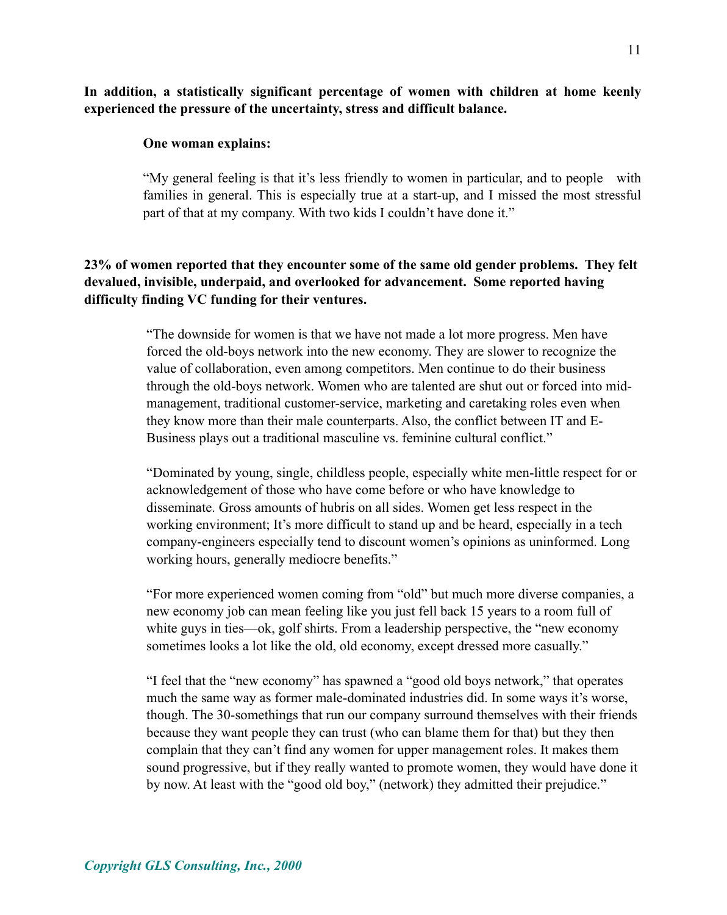### **In addition, a statistically significant percentage of women with children at home keenly experienced the pressure of the uncertainty, stress and difficult balance.**

#### **One woman explains:**

"My general feeling is that it's less friendly to women in particular, and to people with families in general. This is especially true at a start-up, and I missed the most stressful part of that at my company. With two kids I couldn't have done it."

## **23% of women reported that they encounter some of the same old gender problems. They felt devalued, invisible, underpaid, and overlooked for advancement. Some reported having difficulty finding VC funding for their ventures.**

"The downside for women is that we have not made a lot more progress. Men have forced the old-boys network into the new economy. They are slower to recognize the value of collaboration, even among competitors. Men continue to do their business through the old-boys network. Women who are talented are shut out or forced into midmanagement, traditional customer-service, marketing and caretaking roles even when they know more than their male counterparts. Also, the conflict between IT and E-Business plays out a traditional masculine vs. feminine cultural conflict."

"Dominated by young, single, childless people, especially white men-little respect for or acknowledgement of those who have come before or who have knowledge to disseminate. Gross amounts of hubris on all sides. Women get less respect in the working environment; It's more difficult to stand up and be heard, especially in a tech company-engineers especially tend to discount women's opinions as uninformed. Long working hours, generally mediocre benefits."

"For more experienced women coming from "old" but much more diverse companies, a new economy job can mean feeling like you just fell back 15 years to a room full of white guys in ties—ok, golf shirts. From a leadership perspective, the "new economy sometimes looks a lot like the old, old economy, except dressed more casually."

"I feel that the "new economy" has spawned a "good old boys network," that operates much the same way as former male-dominated industries did. In some ways it's worse, though. The 30-somethings that run our company surround themselves with their friends because they want people they can trust (who can blame them for that) but they then complain that they can't find any women for upper management roles. It makes them sound progressive, but if they really wanted to promote women, they would have done it by now. At least with the "good old boy," (network) they admitted their prejudice."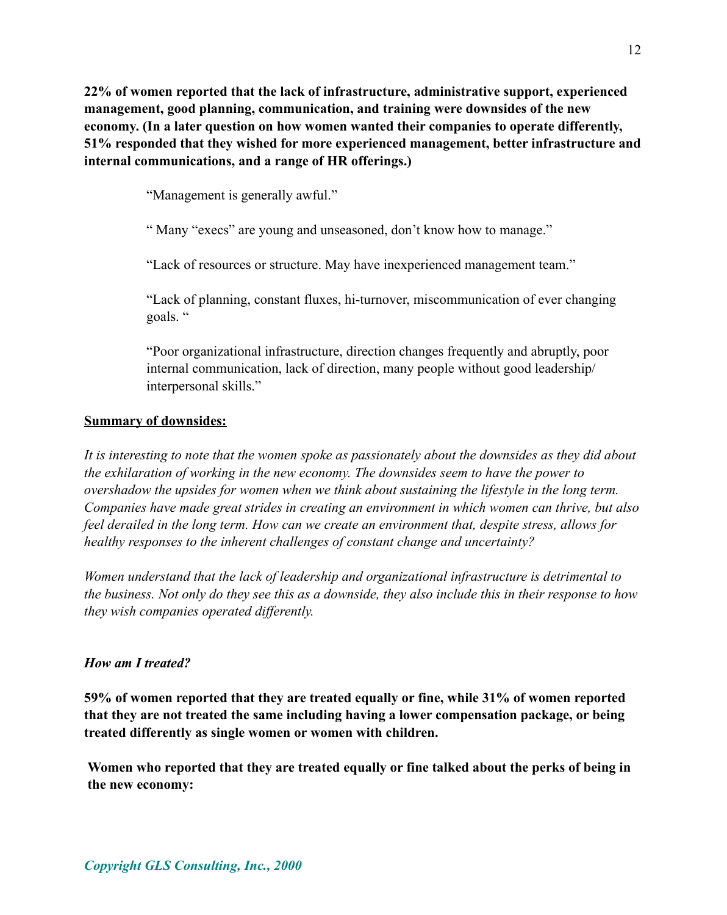**22% of women reported that the lack of infrastructure, administrative support, experienced management, good planning, communication, and training were downsides of the new economy. (In a later question on how women wanted their companies to operate differently, 51% responded that they wished for more experienced management, better infrastructure and internal communications, and a range of HR offerings.)**

"Management is generally awful."

" Many "execs" are young and unseasoned, don't know how to manage."

"Lack of resources or structure. May have inexperienced management team."

"Lack of planning, constant fluxes, hi-turnover, miscommunication of ever changing goals. "

"Poor organizational infrastructure, direction changes frequently and abruptly, poor internal communication, lack of direction, many people without good leadership/ interpersonal skills."

## **Summary of downsides:**

*It is interesting to note that the women spoke as passionately about the downsides as they did about the exhilaration of working in the new economy. The downsides seem to have the power to overshadow the upsides for women when we think about sustaining the lifestyle in the long term. Companies have made great strides in creating an environment in which women can thrive, but also feel derailed in the long term. How can we create an environment that, despite stress, allows for healthy responses to the inherent challenges of constant change and uncertainty?* 

*Women understand that the lack of leadership and organizational infrastructure is detrimental to the business. Not only do they see this as a downside, they also include this in their response to how they wish companies operated differently.*

# *How am I treated?*

**59% of women reported that they are treated equally or fine, while 31% of women reported that they are not treated the same including having a lower compensation package, or being treated differently as single women or women with children.**

**Women who reported that they are treated equally or fine talked about the perks of being in the new economy:**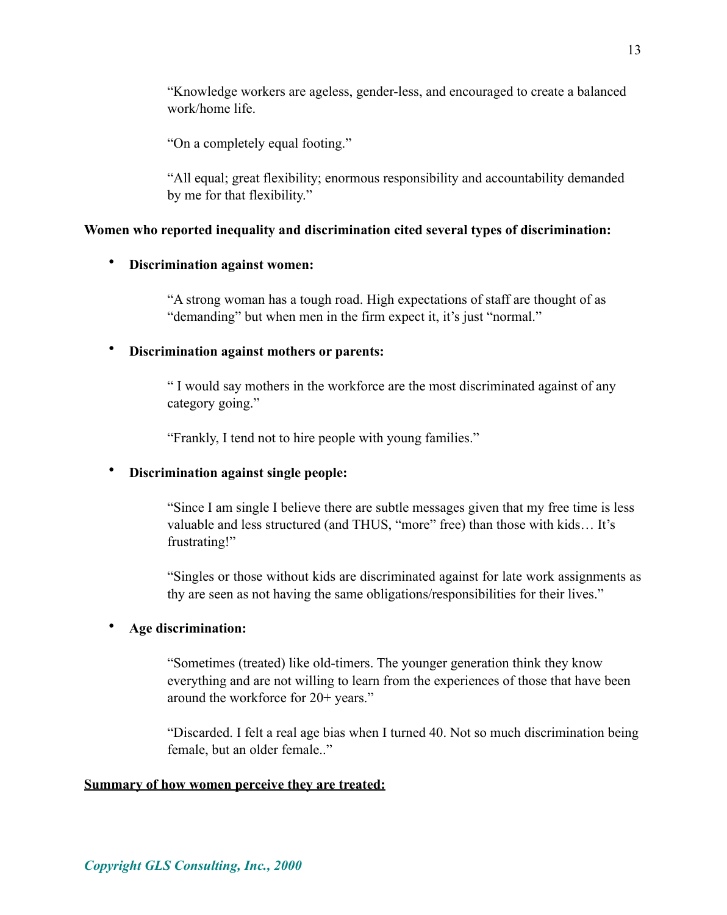"Knowledge workers are ageless, gender-less, and encouraged to create a balanced work/home life.

"On a completely equal footing."

"All equal; great flexibility; enormous responsibility and accountability demanded by me for that flexibility."

#### **Women who reported inequality and discrimination cited several types of discrimination:**

### • **Discrimination against women:**

"A strong woman has a tough road. High expectations of staff are thought of as "demanding" but when men in the firm expect it, it's just "normal."

### • **Discrimination against mothers or parents:**

" I would say mothers in the workforce are the most discriminated against of any category going."

"Frankly, I tend not to hire people with young families."

### • **Discrimination against single people:**

"Since I am single I believe there are subtle messages given that my free time is less valuable and less structured (and THUS, "more" free) than those with kids… It's frustrating!"

"Singles or those without kids are discriminated against for late work assignments as thy are seen as not having the same obligations/responsibilities for their lives."

### • **Age discrimination:**

"Sometimes (treated) like old-timers. The younger generation think they know everything and are not willing to learn from the experiences of those that have been around the workforce for 20+ years."

"Discarded. I felt a real age bias when I turned 40. Not so much discrimination being female, but an older female.."

#### **Summary of how women perceive they are treated:**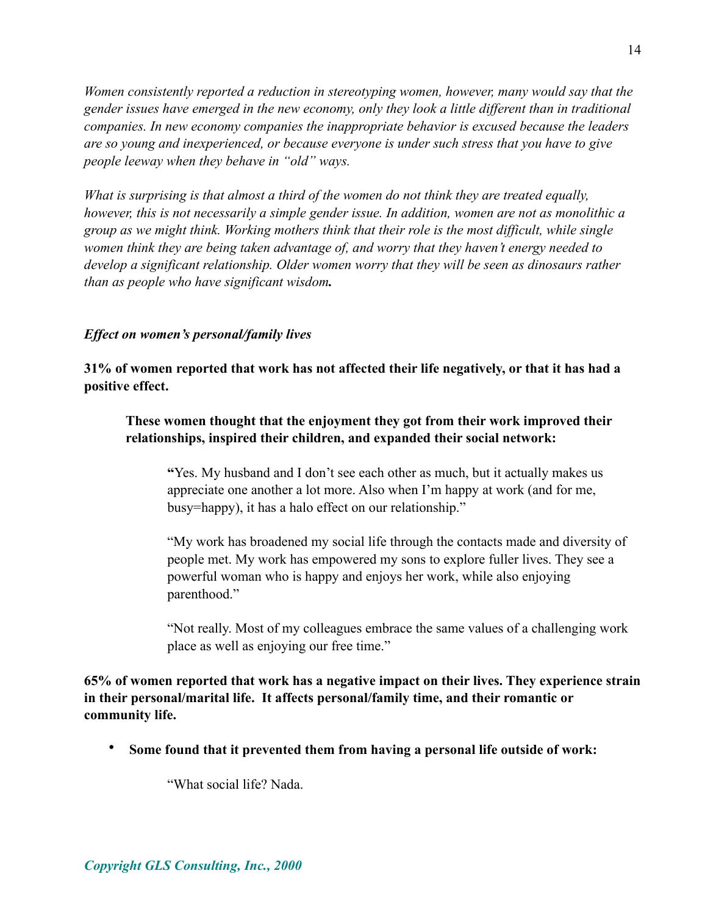*Women consistently reported a reduction in stereotyping women, however, many would say that the gender issues have emerged in the new economy, only they look a little different than in traditional companies. In new economy companies the inappropriate behavior is excused because the leaders are so young and inexperienced, or because everyone is under such stress that you have to give people leeway when they behave in "old" ways.* 

*What is surprising is that almost a third of the women do not think they are treated equally, however, this is not necessarily a simple gender issue. In addition, women are not as monolithic a group as we might think. Working mothers think that their role is the most difficult, while single women think they are being taken advantage of, and worry that they haven't energy needed to develop a significant relationship. Older women worry that they will be seen as dinosaurs rather than as people who have significant wisdom.* 

### *Effect on women's personal/family lives*

**31% of women reported that work has not affected their life negatively, or that it has had a positive effect.** 

### **These women thought that the enjoyment they got from their work improved their relationships, inspired their children, and expanded their social network:**

**"**Yes. My husband and I don't see each other as much, but it actually makes us appreciate one another a lot more. Also when I'm happy at work (and for me, busy=happy), it has a halo effect on our relationship."

"My work has broadened my social life through the contacts made and diversity of people met. My work has empowered my sons to explore fuller lives. They see a powerful woman who is happy and enjoys her work, while also enjoying parenthood."

"Not really. Most of my colleagues embrace the same values of a challenging work place as well as enjoying our free time."

**65% of women reported that work has a negative impact on their lives. They experience strain in their personal/marital life. It affects personal/family time, and their romantic or community life.**

• **Some found that it prevented them from having a personal life outside of work:**

"What social life? Nada.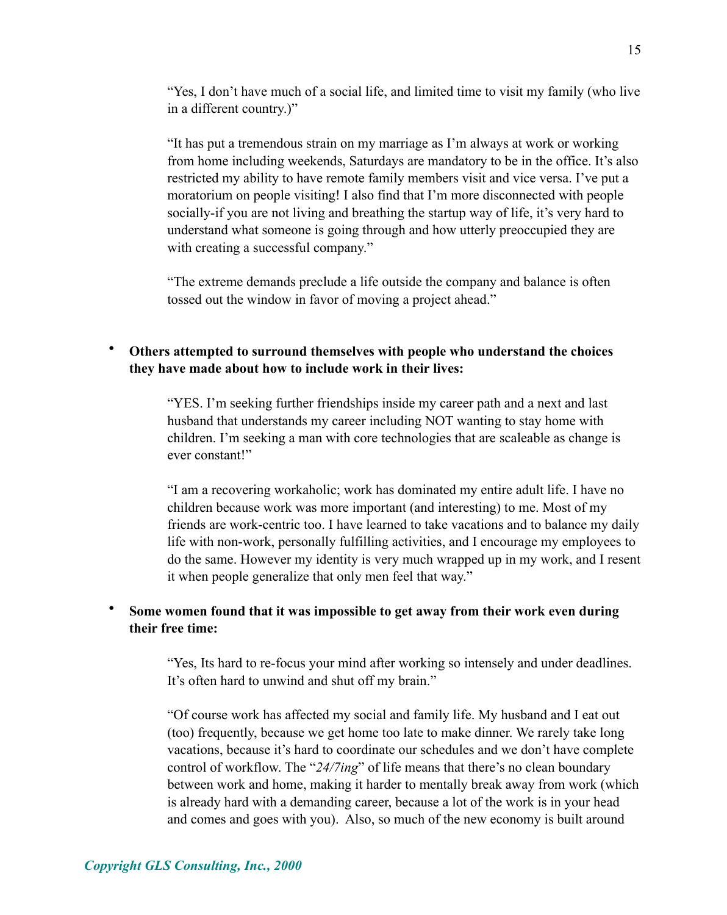"Yes, I don't have much of a social life, and limited time to visit my family (who live in a different country.)"

"It has put a tremendous strain on my marriage as I'm always at work or working from home including weekends, Saturdays are mandatory to be in the office. It's also restricted my ability to have remote family members visit and vice versa. I've put a moratorium on people visiting! I also find that I'm more disconnected with people socially-if you are not living and breathing the startup way of life, it's very hard to understand what someone is going through and how utterly preoccupied they are with creating a successful company."

"The extreme demands preclude a life outside the company and balance is often tossed out the window in favor of moving a project ahead."

## • **Others attempted to surround themselves with people who understand the choices they have made about how to include work in their lives:**

"YES. I'm seeking further friendships inside my career path and a next and last husband that understands my career including NOT wanting to stay home with children. I'm seeking a man with core technologies that are scaleable as change is ever constant!"

"I am a recovering workaholic; work has dominated my entire adult life. I have no children because work was more important (and interesting) to me. Most of my friends are work-centric too. I have learned to take vacations and to balance my daily life with non-work, personally fulfilling activities, and I encourage my employees to do the same. However my identity is very much wrapped up in my work, and I resent it when people generalize that only men feel that way."

### • **Some women found that it was impossible to get away from their work even during their free time:**

"Yes, Its hard to re-focus your mind after working so intensely and under deadlines. It's often hard to unwind and shut off my brain."

"Of course work has affected my social and family life. My husband and I eat out (too) frequently, because we get home too late to make dinner. We rarely take long vacations, because it's hard to coordinate our schedules and we don't have complete control of workflow. The "*24/7ing*" of life means that there's no clean boundary between work and home, making it harder to mentally break away from work (which is already hard with a demanding career, because a lot of the work is in your head and comes and goes with you). Also, so much of the new economy is built around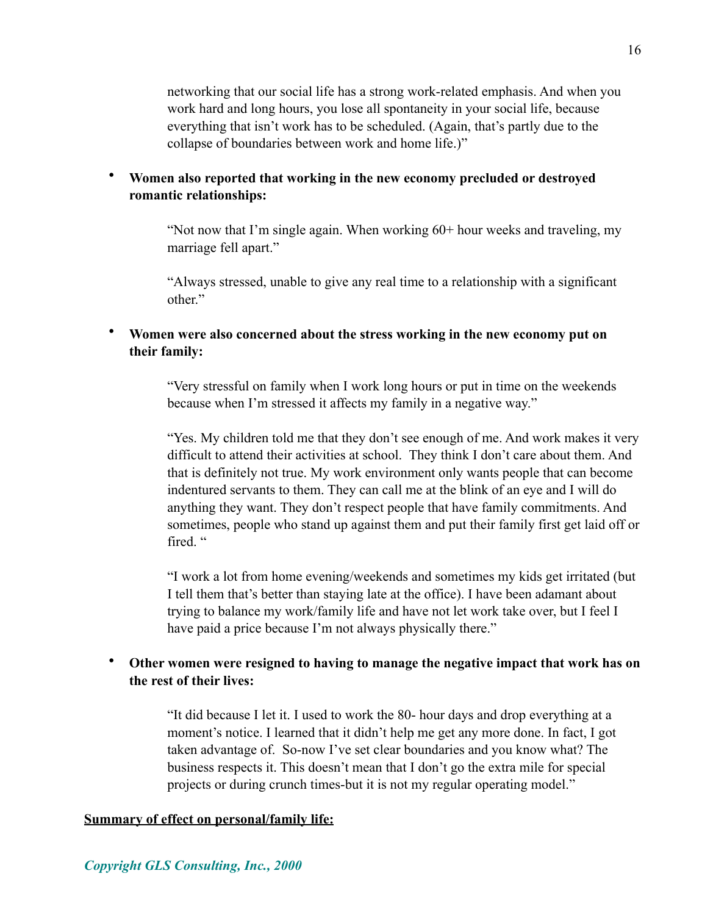networking that our social life has a strong work-related emphasis. And when you work hard and long hours, you lose all spontaneity in your social life, because everything that isn't work has to be scheduled. (Again, that's partly due to the collapse of boundaries between work and home life.)"

### • **Women also reported that working in the new economy precluded or destroyed romantic relationships:**

"Not now that I'm single again. When working 60+ hour weeks and traveling, my marriage fell apart."

"Always stressed, unable to give any real time to a relationship with a significant other."

### • **Women were also concerned about the stress working in the new economy put on their family:**

"Very stressful on family when I work long hours or put in time on the weekends because when I'm stressed it affects my family in a negative way."

"Yes. My children told me that they don't see enough of me. And work makes it very difficult to attend their activities at school. They think I don't care about them. And that is definitely not true. My work environment only wants people that can become indentured servants to them. They can call me at the blink of an eye and I will do anything they want. They don't respect people that have family commitments. And sometimes, people who stand up against them and put their family first get laid off or fired."

"I work a lot from home evening/weekends and sometimes my kids get irritated (but I tell them that's better than staying late at the office). I have been adamant about trying to balance my work/family life and have not let work take over, but I feel I have paid a price because I'm not always physically there."

## • **Other women were resigned to having to manage the negative impact that work has on the rest of their lives:**

"It did because I let it. I used to work the 80- hour days and drop everything at a moment's notice. I learned that it didn't help me get any more done. In fact, I got taken advantage of. So-now I've set clear boundaries and you know what? The business respects it. This doesn't mean that I don't go the extra mile for special projects or during crunch times-but it is not my regular operating model."

### **Summary of effect on personal/family life:**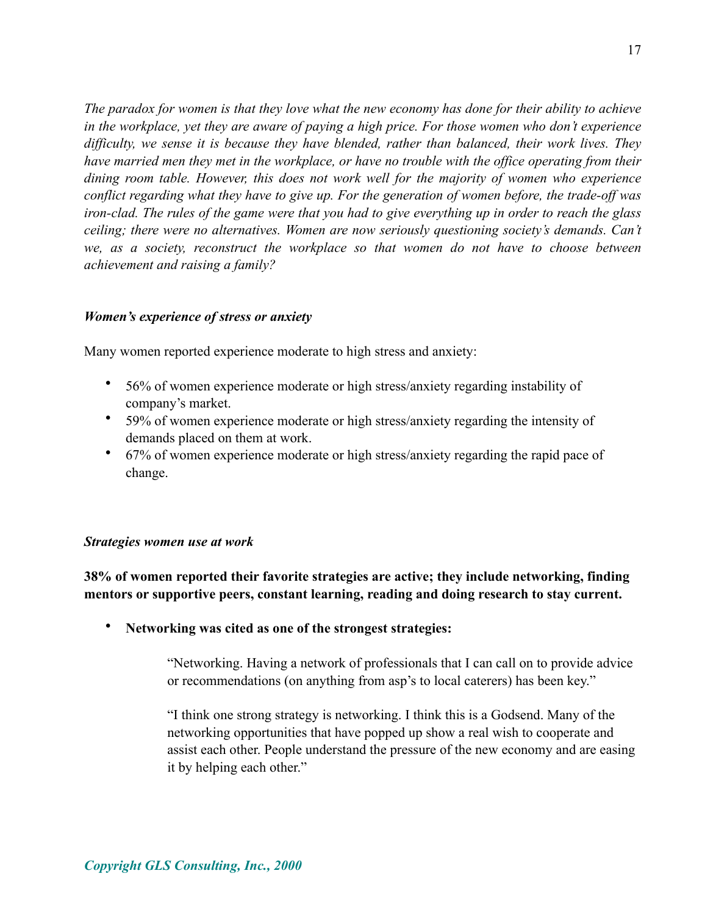*The paradox for women is that they love what the new economy has done for their ability to achieve in the workplace, yet they are aware of paying a high price. For those women who don't experience difficulty, we sense it is because they have blended, rather than balanced, their work lives. They have married men they met in the workplace, or have no trouble with the office operating from their dining room table. However, this does not work well for the majority of women who experience conflict regarding what they have to give up. For the generation of women before, the trade-off was iron-clad. The rules of the game were that you had to give everything up in order to reach the glass ceiling; there were no alternatives. Women are now seriously questioning society's demands. Can't we, as a society, reconstruct the workplace so that women do not have to choose between achievement and raising a family?* 

### *Women's experience of stress or anxiety*

Many women reported experience moderate to high stress and anxiety:

- 56% of women experience moderate or high stress/anxiety regarding instability of company's market.
- 59% of women experience moderate or high stress/anxiety regarding the intensity of demands placed on them at work.
- 67% of women experience moderate or high stress/anxiety regarding the rapid pace of change.

#### *Strategies women use at work*

**38% of women reported their favorite strategies are active; they include networking, finding mentors or supportive peers, constant learning, reading and doing research to stay current.**

• **Networking was cited as one of the strongest strategies:**

"Networking. Having a network of professionals that I can call on to provide advice or recommendations (on anything from asp's to local caterers) has been key."

"I think one strong strategy is networking. I think this is a Godsend. Many of the networking opportunities that have popped up show a real wish to cooperate and assist each other. People understand the pressure of the new economy and are easing it by helping each other."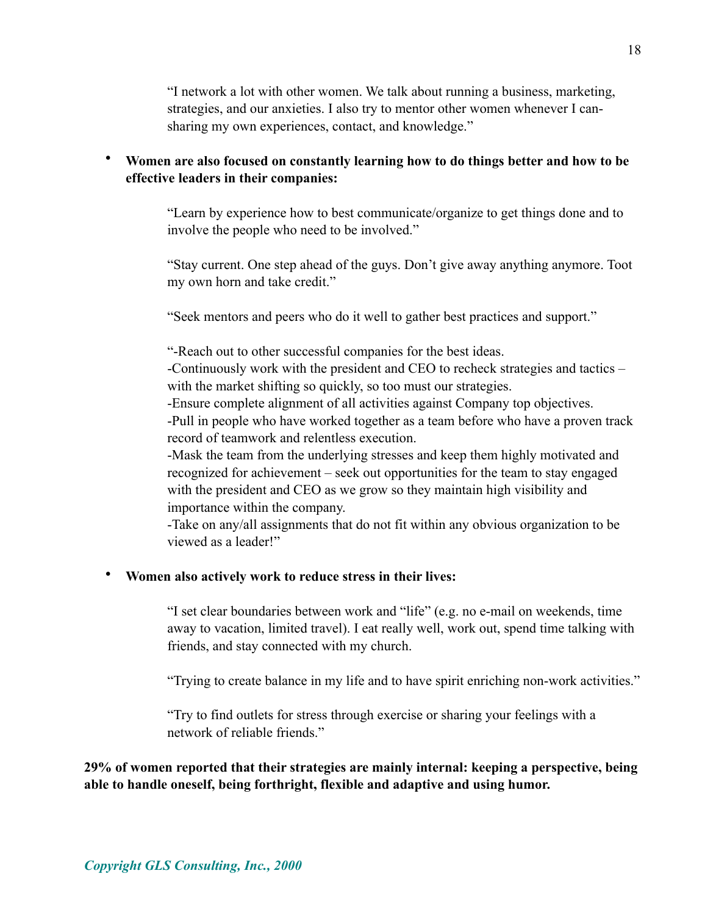"I network a lot with other women. We talk about running a business, marketing, strategies, and our anxieties. I also try to mentor other women whenever I cansharing my own experiences, contact, and knowledge."

## • **Women are also focused on constantly learning how to do things better and how to be effective leaders in their companies:**

"Learn by experience how to best communicate/organize to get things done and to involve the people who need to be involved."

"Stay current. One step ahead of the guys. Don't give away anything anymore. Toot my own horn and take credit."

"Seek mentors and peers who do it well to gather best practices and support."

"-Reach out to other successful companies for the best ideas.

-Continuously work with the president and CEO to recheck strategies and tactics – with the market shifting so quickly, so too must our strategies.

-Ensure complete alignment of all activities against Company top objectives.

-Pull in people who have worked together as a team before who have a proven track record of teamwork and relentless execution.

-Mask the team from the underlying stresses and keep them highly motivated and recognized for achievement – seek out opportunities for the team to stay engaged with the president and CEO as we grow so they maintain high visibility and importance within the company.

-Take on any/all assignments that do not fit within any obvious organization to be viewed as a leader!"

### • **Women also actively work to reduce stress in their lives:**

"I set clear boundaries between work and "life" (e.g. no e-mail on weekends, time away to vacation, limited travel). I eat really well, work out, spend time talking with friends, and stay connected with my church.

"Trying to create balance in my life and to have spirit enriching non-work activities."

"Try to find outlets for stress through exercise or sharing your feelings with a network of reliable friends."

**29% of women reported that their strategies are mainly internal: keeping a perspective, being able to handle oneself, being forthright, flexible and adaptive and using humor.**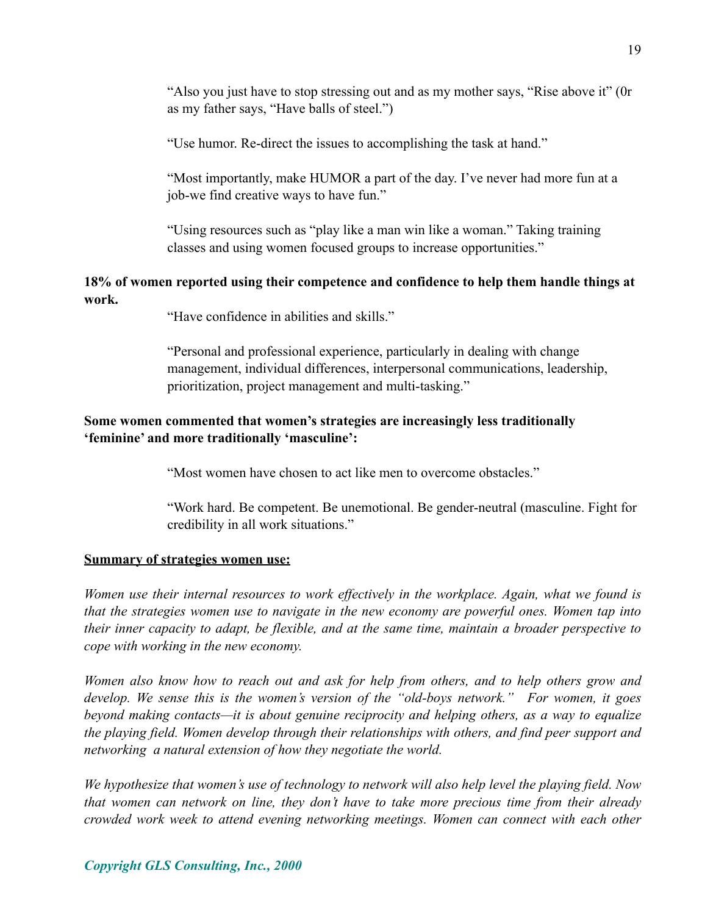"Also you just have to stop stressing out and as my mother says, "Rise above it" (0r as my father says, "Have balls of steel.")

"Use humor. Re-direct the issues to accomplishing the task at hand."

"Most importantly, make HUMOR a part of the day. I've never had more fun at a job-we find creative ways to have fun."

"Using resources such as "play like a man win like a woman." Taking training classes and using women focused groups to increase opportunities."

### **18% of women reported using their competence and confidence to help them handle things at work.**

"Have confidence in abilities and skills."

"Personal and professional experience, particularly in dealing with change management, individual differences, interpersonal communications, leadership, prioritization, project management and multi-tasking."

## **Some women commented that women's strategies are increasingly less traditionally 'feminine' and more traditionally 'masculine':**

"Most women have chosen to act like men to overcome obstacles."

"Work hard. Be competent. Be unemotional. Be gender-neutral (masculine. Fight for credibility in all work situations."

#### **Summary of strategies women use:**

*Women use their internal resources to work effectively in the workplace. Again, what we found is that the strategies women use to navigate in the new economy are powerful ones. Women tap into their inner capacity to adapt, be flexible, and at the same time, maintain a broader perspective to cope with working in the new economy.*

*Women also know how to reach out and ask for help from others, and to help others grow and develop. We sense this is the women's version of the "old-boys network." For women, it goes beyond making contacts—it is about genuine reciprocity and helping others, as a way to equalize the playing field. Women develop through their relationships with others, and find peer support and networking a natural extension of how they negotiate the world.*

*We hypothesize that women's use of technology to network will also help level the playing field. Now that women can network on line, they don't have to take more precious time from their already crowded work week to attend evening networking meetings. Women can connect with each other*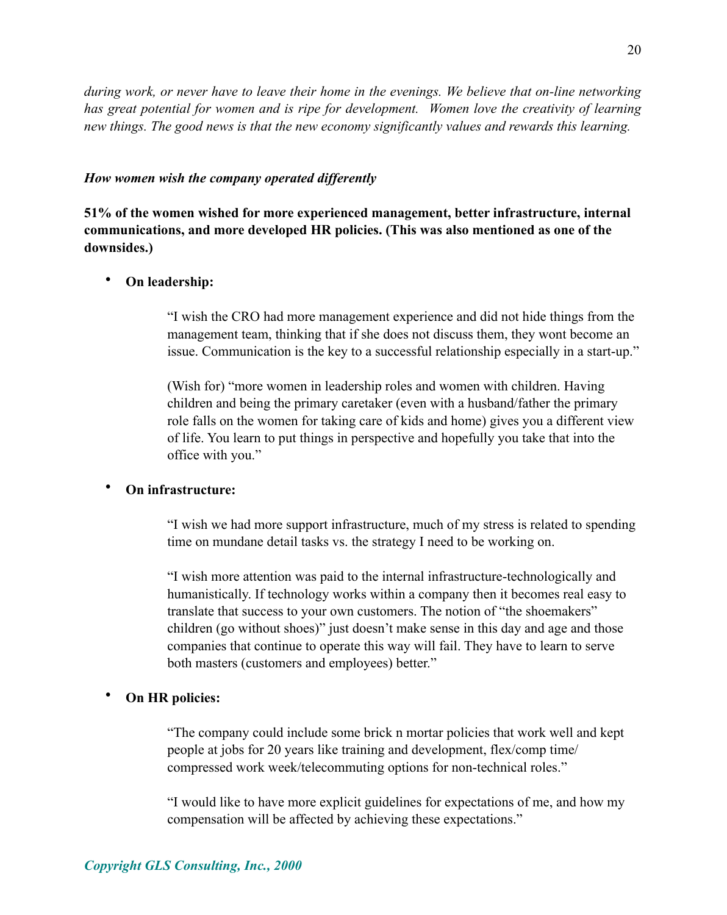20

*during work, or never have to leave their home in the evenings. We believe that on-line networking has great potential for women and is ripe for development. Women love the creativity of learning new things. The good news is that the new economy significantly values and rewards this learning.* 

#### *How women wish the company operated differently*

**51% of the women wished for more experienced management, better infrastructure, internal communications, and more developed HR policies. (This was also mentioned as one of the downsides.)**

#### • **On leadership:**

"I wish the CRO had more management experience and did not hide things from the management team, thinking that if she does not discuss them, they wont become an issue. Communication is the key to a successful relationship especially in a start-up."

(Wish for) "more women in leadership roles and women with children. Having children and being the primary caretaker (even with a husband/father the primary role falls on the women for taking care of kids and home) gives you a different view of life. You learn to put things in perspective and hopefully you take that into the office with you."

#### • **On infrastructure:**

"I wish we had more support infrastructure, much of my stress is related to spending time on mundane detail tasks vs. the strategy I need to be working on.

"I wish more attention was paid to the internal infrastructure-technologically and humanistically. If technology works within a company then it becomes real easy to translate that success to your own customers. The notion of "the shoemakers" children (go without shoes)" just doesn't make sense in this day and age and those companies that continue to operate this way will fail. They have to learn to serve both masters (customers and employees) better."

#### • **On HR policies:**

"The company could include some brick n mortar policies that work well and kept people at jobs for 20 years like training and development, flex/comp time/ compressed work week/telecommuting options for non-technical roles."

"I would like to have more explicit guidelines for expectations of me, and how my compensation will be affected by achieving these expectations."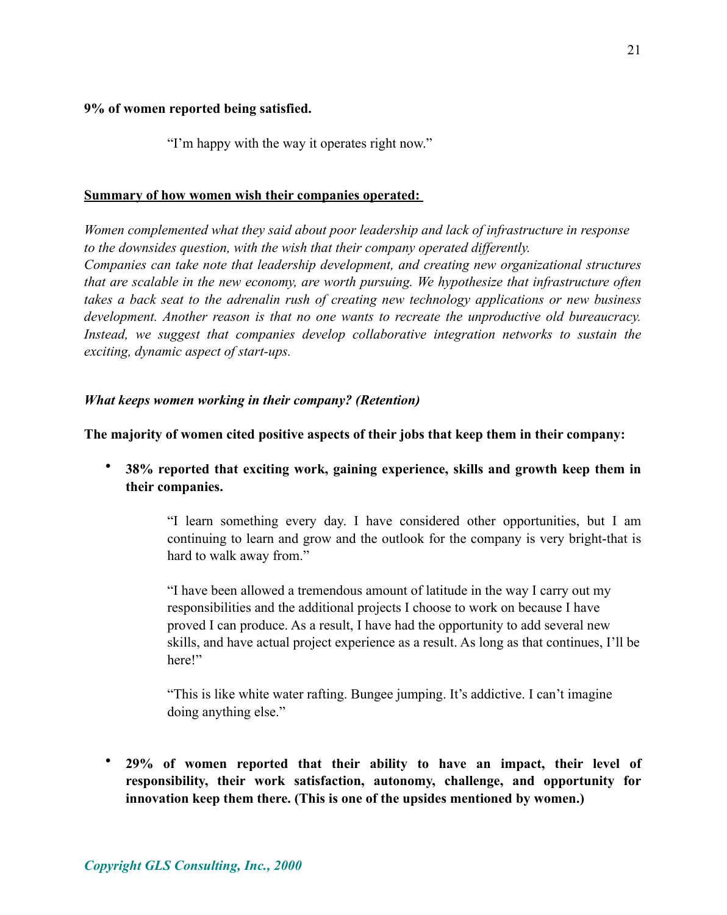#### **9% of women reported being satisfied.**

"I'm happy with the way it operates right now."

#### **Summary of how women wish their companies operated:**

*Women complemented what they said about poor leadership and lack of infrastructure in response to the downsides question, with the wish that their company operated differently. Companies can take note that leadership development, and creating new organizational structures that are scalable in the new economy, are worth pursuing. We hypothesize that infrastructure often takes a back seat to the adrenalin rush of creating new technology applications or new business development. Another reason is that no one wants to recreate the unproductive old bureaucracy. Instead, we suggest that companies develop collaborative integration networks to sustain the exciting, dynamic aspect of start-ups.* 

### *What keeps women working in their company? (Retention)*

**The majority of women cited positive aspects of their jobs that keep them in their company:**

• **38% reported that exciting work, gaining experience, skills and growth keep them in their companies.** 

> "I learn something every day. I have considered other opportunities, but I am continuing to learn and grow and the outlook for the company is very bright-that is hard to walk away from."

> "I have been allowed a tremendous amount of latitude in the way I carry out my responsibilities and the additional projects I choose to work on because I have proved I can produce. As a result, I have had the opportunity to add several new skills, and have actual project experience as a result. As long as that continues, I'll be here!"

"This is like white water rafting. Bungee jumping. It's addictive. I can't imagine doing anything else."

• **29% of women reported that their ability to have an impact, their level of responsibility, their work satisfaction, autonomy, challenge, and opportunity for innovation keep them there. (This is one of the upsides mentioned by women.)**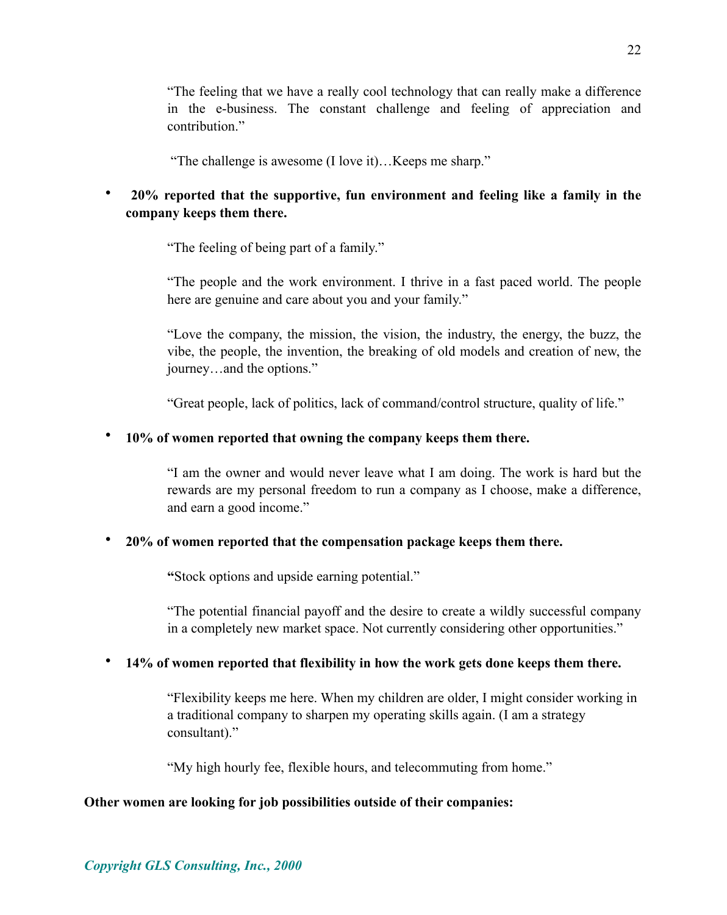*Copyright GLS Consulting, Inc., 2000*

"The feeling that we have a really cool technology that can really make a difference in the e-business. The constant challenge and feeling of appreciation and contribution<sup>"</sup>

"The challenge is awesome (I love it)…Keeps me sharp."

# • **20% reported that the supportive, fun environment and feeling like a family in the company keeps them there.**

"The feeling of being part of a family."

"The people and the work environment. I thrive in a fast paced world. The people here are genuine and care about you and your family."

"Love the company, the mission, the vision, the industry, the energy, the buzz, the vibe, the people, the invention, the breaking of old models and creation of new, the journey…and the options."

"Great people, lack of politics, lack of command/control structure, quality of life."

## • **10% of women reported that owning the company keeps them there.**

"I am the owner and would never leave what I am doing. The work is hard but the rewards are my personal freedom to run a company as I choose, make a difference, and earn a good income."

### • **20% of women reported that the compensation package keeps them there.**

 **"**Stock options and upside earning potential."

"The potential financial payoff and the desire to create a wildly successful company in a completely new market space. Not currently considering other opportunities."

### • **14% of women reported that flexibility in how the work gets done keeps them there.**

"Flexibility keeps me here. When my children are older, I might consider working in a traditional company to sharpen my operating skills again. (I am a strategy consultant)."

"My high hourly fee, flexible hours, and telecommuting from home."

### **Other women are looking for job possibilities outside of their companies:**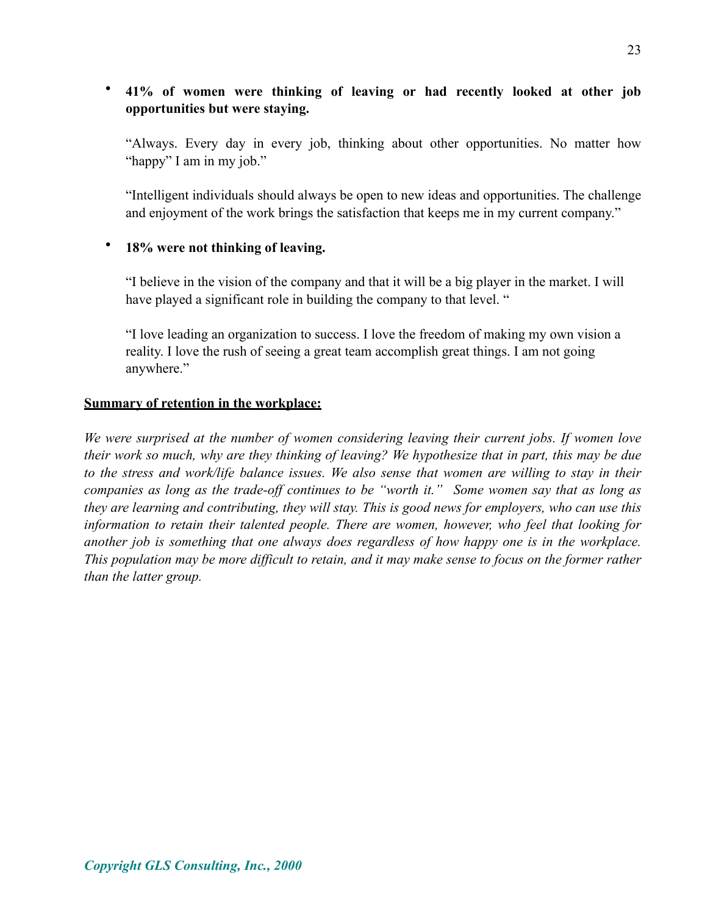## • **41% of women were thinking of leaving or had recently looked at other job opportunities but were staying.**

"Always. Every day in every job, thinking about other opportunities. No matter how "happy" I am in my job."

"Intelligent individuals should always be open to new ideas and opportunities. The challenge and enjoyment of the work brings the satisfaction that keeps me in my current company."

### • **18% were not thinking of leaving.**

"I believe in the vision of the company and that it will be a big player in the market. I will have played a significant role in building the company to that level. "

"I love leading an organization to success. I love the freedom of making my own vision a reality. I love the rush of seeing a great team accomplish great things. I am not going anywhere."

### **Summary of retention in the workplace:**

*We were surprised at the number of women considering leaving their current jobs. If women love their work so much, why are they thinking of leaving? We hypothesize that in part, this may be due to the stress and work/life balance issues. We also sense that women are willing to stay in their companies as long as the trade-off continues to be "worth it." Some women say that as long as they are learning and contributing, they will stay. This is good news for employers, who can use this information to retain their talented people. There are women, however, who feel that looking for another job is something that one always does regardless of how happy one is in the workplace. This population may be more difficult to retain, and it may make sense to focus on the former rather than the latter group.*